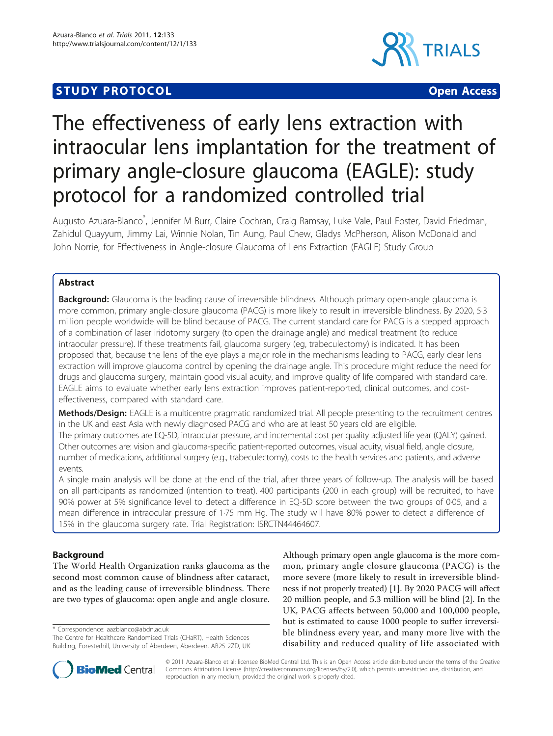# **STUDY PROTOCOL CONSUMING THE CONSUMING OPEN ACCESS**



# The effectiveness of early lens extraction with intraocular lens implantation for the treatment of primary angle-closure glaucoma (EAGLE): study protocol for a randomized controlled trial

Augusto Azuara-Blanco<sup>\*</sup>, Jennifer M Burr, Claire Cochran, Craig Ramsay, Luke Vale, Paul Foster, David Friedman, Zahidul Quayyum, Jimmy Lai, Winnie Nolan, Tin Aung, Paul Chew, Gladys McPherson, Alison McDonald and John Norrie, for Effectiveness in Angle-closure Glaucoma of Lens Extraction (EAGLE) Study Group

# Abstract

**Background:** Glaucoma is the leading cause of irreversible blindness. Although primary open-angle glaucoma is more common, primary angle-closure glaucoma (PACG) is more likely to result in irreversible blindness. By 2020, 5·3 million people worldwide will be blind because of PACG. The current standard care for PACG is a stepped approach of a combination of laser iridotomy surgery (to open the drainage angle) and medical treatment (to reduce intraocular pressure). If these treatments fail, glaucoma surgery (eg, trabeculectomy) is indicated. It has been proposed that, because the lens of the eye plays a major role in the mechanisms leading to PACG, early clear lens extraction will improve glaucoma control by opening the drainage angle. This procedure might reduce the need for drugs and glaucoma surgery, maintain good visual acuity, and improve quality of life compared with standard care. EAGLE aims to evaluate whether early lens extraction improves patient-reported, clinical outcomes, and costeffectiveness, compared with standard care.

Methods/Design: EAGLE is a multicentre pragmatic randomized trial. All people presenting to the recruitment centres in the UK and east Asia with newly diagnosed PACG and who are at least 50 years old are eligible. The primary outcomes are EQ-5D, intraocular pressure, and incremental cost per quality adjusted life year (QALY) gained. Other outcomes are: vision and glaucoma-specific patient-reported outcomes, visual acuity, visual field, angle closure, number of medications, additional surgery (e.g., trabeculectomy), costs to the health services and patients, and adverse events.

A single main analysis will be done at the end of the trial, after three years of follow-up. The analysis will be based on all participants as randomized (intention to treat). 400 participants (200 in each group) will be recruited, to have 90% power at 5% significance level to detect a difference in EQ-5D score between the two groups of 0·05, and a mean difference in intraocular pressure of 1·75 mm Hg. The study will have 80% power to detect a difference of 15% in the glaucoma surgery rate. Trial Registration: ISRCTN44464607.

# Background

The World Health Organization ranks glaucoma as the second most common cause of blindness after cataract, and as the leading cause of irreversible blindness. There are two types of glaucoma: open angle and angle closure.

\* Correspondence: [aazblanco@abdn.ac.uk](mailto:aazblanco@abdn.ac.uk)

The Centre for Healthcare Randomised Trials (CHaRT), Health Sciences Building, Foresterhill, University of Aberdeen, Aberdeen, AB25 2ZD, UK Although primary open angle glaucoma is the more common, primary angle closure glaucoma (PACG) is the more severe (more likely to result in irreversible blindness if not properly treated) [[1\]](#page-8-0). By 2020 PACG will affect 20 million people, and 5.3 million will be blind [\[2](#page-8-0)]. In the UK, PACG affects between 50,000 and 100,000 people, but is estimated to cause 1000 people to suffer irreversible blindness every year, and many more live with the disability and reduced quality of life associated with



© 2011 Azuara-Blanco et al; licensee BioMed Central Ltd. This is an Open Access article distributed under the terms of the Creative Commons Attribution License [\(http://creativecommons.org/licenses/by/2.0](http://creativecommons.org/licenses/by/2.0)), which permits unrestricted use, distribution, and reproduction in any medium, provided the original work is properly cited.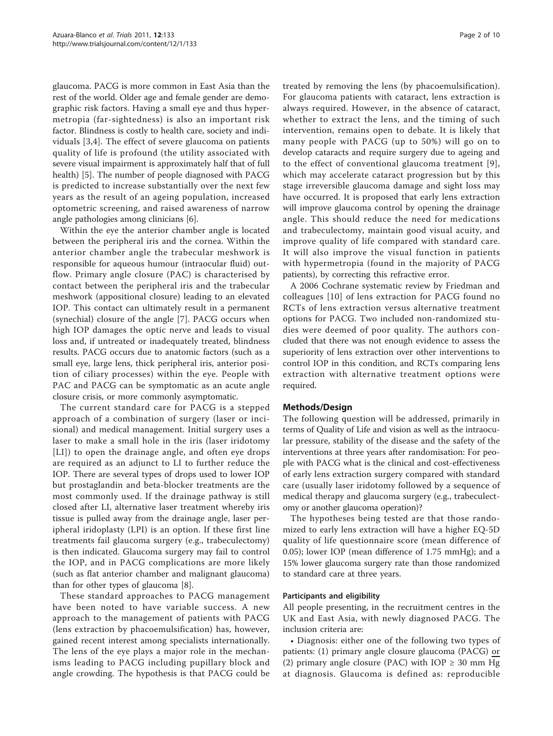glaucoma. PACG is more common in East Asia than the rest of the world. Older age and female gender are demographic risk factors. Having a small eye and thus hypermetropia (far-sightedness) is also an important risk factor. Blindness is costly to health care, society and individuals [[3,4](#page-8-0)]. The effect of severe glaucoma on patients quality of life is profound (the utility associated with severe visual impairment is approximately half that of full health) [\[5](#page-8-0)]. The number of people diagnosed with PACG is predicted to increase substantially over the next few years as the result of an ageing population, increased optometric screening, and raised awareness of narrow angle pathologies among clinicians [[6\]](#page-8-0).

Within the eye the anterior chamber angle is located between the peripheral iris and the cornea. Within the anterior chamber angle the trabecular meshwork is responsible for aqueous humour (intraocular fluid) outflow. Primary angle closure (PAC) is characterised by contact between the peripheral iris and the trabecular meshwork (appositional closure) leading to an elevated IOP. This contact can ultimately result in a permanent (synechial) closure of the angle [[7](#page-8-0)]. PACG occurs when high IOP damages the optic nerve and leads to visual loss and, if untreated or inadequately treated, blindness results. PACG occurs due to anatomic factors (such as a small eye, large lens, thick peripheral iris, anterior position of ciliary processes) within the eye. People with PAC and PACG can be symptomatic as an acute angle closure crisis, or more commonly asymptomatic.

The current standard care for PACG is a stepped approach of a combination of surgery (laser or incisional) and medical management. Initial surgery uses a laser to make a small hole in the iris (laser iridotomy [LI]) to open the drainage angle, and often eye drops are required as an adjunct to LI to further reduce the IOP. There are several types of drops used to lower IOP but prostaglandin and beta-blocker treatments are the most commonly used. If the drainage pathway is still closed after LI, alternative laser treatment whereby iris tissue is pulled away from the drainage angle, laser peripheral iridoplasty (LPI) is an option. If these first line treatments fail glaucoma surgery (e.g., trabeculectomy) is then indicated. Glaucoma surgery may fail to control the IOP, and in PACG complications are more likely (such as flat anterior chamber and malignant glaucoma) than for other types of glaucoma [\[8](#page-8-0)].

These standard approaches to PACG management have been noted to have variable success. A new approach to the management of patients with PACG (lens extraction by phacoemulsification) has, however, gained recent interest among specialists internationally. The lens of the eye plays a major role in the mechanisms leading to PACG including pupillary block and angle crowding. The hypothesis is that PACG could be

treated by removing the lens (by phacoemulsification). For glaucoma patients with cataract, lens extraction is always required. However, in the absence of cataract, whether to extract the lens, and the timing of such intervention, remains open to debate. It is likely that many people with PACG (up to 50%) will go on to develop cataracts and require surgery due to ageing and to the effect of conventional glaucoma treatment [[9\]](#page-8-0), which may accelerate cataract progression but by this stage irreversible glaucoma damage and sight loss may have occurred. It is proposed that early lens extraction will improve glaucoma control by opening the drainage angle. This should reduce the need for medications and trabeculectomy, maintain good visual acuity, and improve quality of life compared with standard care. It will also improve the visual function in patients with hypermetropia (found in the majority of PACG patients), by correcting this refractive error.

A 2006 Cochrane systematic review by Friedman and colleagues [[10\]](#page-8-0) of lens extraction for PACG found no RCTs of lens extraction versus alternative treatment options for PACG. Two included non-randomized studies were deemed of poor quality. The authors concluded that there was not enough evidence to assess the superiority of lens extraction over other interventions to control IOP in this condition, and RCTs comparing lens extraction with alternative treatment options were required.

#### Methods/Design

The following question will be addressed, primarily in terms of Quality of Life and vision as well as the intraocular pressure, stability of the disease and the safety of the interventions at three years after randomisation: For people with PACG what is the clinical and cost-effectiveness of early lens extraction surgery compared with standard care (usually laser iridotomy followed by a sequence of medical therapy and glaucoma surgery (e.g., trabeculectomy or another glaucoma operation)?

The hypotheses being tested are that those randomized to early lens extraction will have a higher EQ-5D quality of life questionnaire score (mean difference of 0.05); lower IOP (mean difference of 1.75 mmHg); and a 15% lower glaucoma surgery rate than those randomized to standard care at three years.

#### Participants and eligibility

All people presenting, in the recruitment centres in the UK and East Asia, with newly diagnosed PACG. The inclusion criteria are:

• Diagnosis: either one of the following two types of patients: (1) primary angle closure glaucoma (PACG) or (2) primary angle closure (PAC) with IOP  $\geq$  30 mm Hg at diagnosis. Glaucoma is defined as: reproducible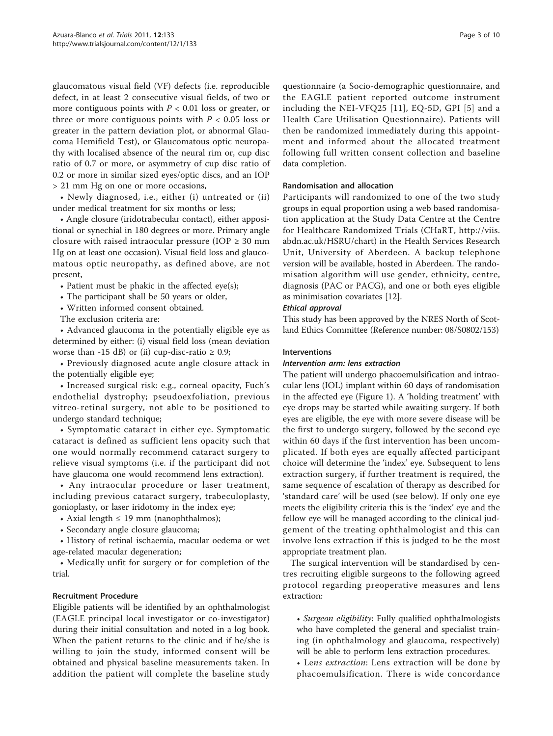glaucomatous visual field (VF) defects (i.e. reproducible defect, in at least 2 consecutive visual fields, of two or more contiguous points with  $P < 0.01$  loss or greater, or three or more contiguous points with  $P < 0.05$  loss or greater in the pattern deviation plot, or abnormal Glaucoma Hemifield Test), or Glaucomatous optic neuropathy with localised absence of the neural rim or, cup disc ratio of 0.7 or more, or asymmetry of cup disc ratio of 0.2 or more in similar sized eyes/optic discs, and an IOP > 21 mm Hg on one or more occasions,

• Newly diagnosed, i.e., either (i) untreated or (ii) under medical treatment for six months or less;

• Angle closure (iridotrabecular contact), either appositional or synechial in 180 degrees or more. Primary angle closure with raised intraocular pressure (IOP  $\geq$  30 mm Hg on at least one occasion). Visual field loss and glaucomatous optic neuropathy, as defined above, are not present,

• Patient must be phakic in the affected eye(s);

• The participant shall be 50 years or older,

• Written informed consent obtained.

The exclusion criteria are:

• Advanced glaucoma in the potentially eligible eye as determined by either: (i) visual field loss (mean deviation worse than  $-15$  dB) or (ii) cup-disc-ratio  $\geq 0.9$ ;

• Previously diagnosed acute angle closure attack in the potentially eligible eye;

• Increased surgical risk: e.g., corneal opacity, Fuch's endothelial dystrophy; pseudoexfoliation, previous vitreo-retinal surgery, not able to be positioned to undergo standard technique;

• Symptomatic cataract in either eye. Symptomatic cataract is defined as sufficient lens opacity such that one would normally recommend cataract surgery to relieve visual symptoms (i.e. if the participant did not have glaucoma one would recommend lens extraction).

• Any intraocular procedure or laser treatment, including previous cataract surgery, trabeculoplasty, gonioplasty, or laser iridotomy in the index eye;

- Axial length  $\leq 19$  mm (nanophthalmos);
- Secondary angle closure glaucoma;

• History of retinal ischaemia, macular oedema or wet age-related macular degeneration;

• Medically unfit for surgery or for completion of the trial.

#### Recruitment Procedure

Eligible patients will be identified by an ophthalmologist (EAGLE principal local investigator or co-investigator) during their initial consultation and noted in a log book. When the patient returns to the clinic and if he/she is willing to join the study, informed consent will be obtained and physical baseline measurements taken. In addition the patient will complete the baseline study

questionnaire (a Socio-demographic questionnaire, and the EAGLE patient reported outcome instrument including the NEI-VFQ25 [[11](#page-8-0)], EQ-5D, GPI [[5](#page-8-0)] and a Health Care Utilisation Questionnaire). Patients will then be randomized immediately during this appointment and informed about the allocated treatment following full written consent collection and baseline data completion.

#### Randomisation and allocation

Participants will randomized to one of the two study groups in equal proportion using a web based randomisation application at the Study Data Centre at the Centre for Healthcare Randomized Trials (CHaRT, [http://viis.](http://viis.abdn.ac.uk/HSRU/chart) [abdn.ac.uk/HSRU/chart\)](http://viis.abdn.ac.uk/HSRU/chart) in the Health Services Research Unit, University of Aberdeen. A backup telephone version will be available, hosted in Aberdeen. The randomisation algorithm will use gender, ethnicity, centre, diagnosis (PAC or PACG), and one or both eyes eligible as minimisation covariates [[12\]](#page-8-0).

#### Ethical approval

This study has been approved by the NRES North of Scotland Ethics Committee (Reference number: 08/S0802/153)

#### Interventions

#### Intervention arm: lens extraction

The patient will undergo phacoemulsification and intraocular lens (IOL) implant within 60 days of randomisation in the affected eye (Figure [1](#page-3-0)). A 'holding treatment' with eye drops may be started while awaiting surgery. If both eyes are eligible, the eye with more severe disease will be the first to undergo surgery, followed by the second eye within 60 days if the first intervention has been uncomplicated. If both eyes are equally affected participant choice will determine the 'index' eye. Subsequent to lens extraction surgery, if further treatment is required, the same sequence of escalation of therapy as described for 'standard care' will be used (see below). If only one eye meets the eligibility criteria this is the 'index' eye and the fellow eye will be managed according to the clinical judgement of the treating ophthalmologist and this can involve lens extraction if this is judged to be the most appropriate treatment plan.

The surgical intervention will be standardised by centres recruiting eligible surgeons to the following agreed protocol regarding preoperative measures and lens extraction:

• Surgeon eligibility: Fully qualified ophthalmologists who have completed the general and specialist training (in ophthalmology and glaucoma, respectively) will be able to perform lens extraction procedures.

• Lens extraction: Lens extraction will be done by phacoemulsification. There is wide concordance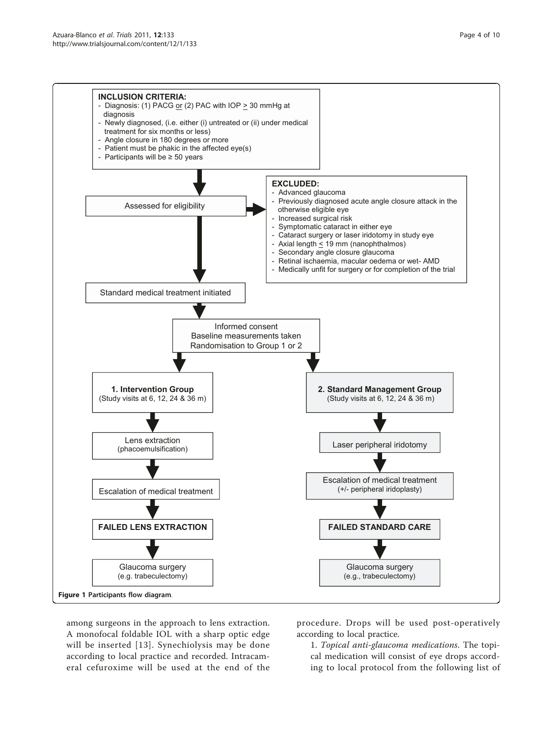<span id="page-3-0"></span>

among surgeons in the approach to lens extraction. A monofocal foldable IOL with a sharp optic edge will be inserted [[13\]](#page-8-0). Synechiolysis may be done according to local practice and recorded. Intracameral cefuroxime will be used at the end of the

procedure. Drops will be used post-operatively according to local practice.

1. Topical anti-glaucoma medications. The topical medication will consist of eye drops according to local protocol from the following list of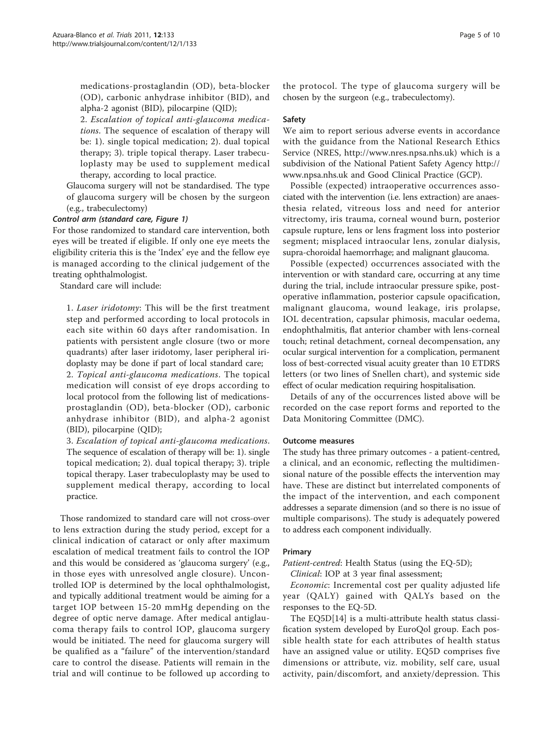medications-prostaglandin (OD), beta-blocker (OD), carbonic anhydrase inhibitor (BID), and alpha-2 agonist (BID), pilocarpine (QID);

2. Escalation of topical anti-glaucoma medications. The sequence of escalation of therapy will be: 1). single topical medication; 2). dual topical therapy; 3). triple topical therapy. Laser trabeculoplasty may be used to supplement medical therapy, according to local practice.

Glaucoma surgery will not be standardised. The type of glaucoma surgery will be chosen by the surgeon (e.g., trabeculectomy)

#### Control arm (standard care, Figure [1\)](#page-3-0)

For those randomized to standard care intervention, both eyes will be treated if eligible. If only one eye meets the eligibility criteria this is the 'Index' eye and the fellow eye is managed according to the clinical judgement of the treating ophthalmologist.

Standard care will include:

1. Laser iridotomy: This will be the first treatment step and performed according to local protocols in each site within 60 days after randomisation. In patients with persistent angle closure (two or more quadrants) after laser iridotomy, laser peripheral iridoplasty may be done if part of local standard care;

2. Topical anti-glaucoma medications. The topical medication will consist of eye drops according to local protocol from the following list of medicationsprostaglandin (OD), beta-blocker (OD), carbonic anhydrase inhibitor (BID), and alpha-2 agonist (BID), pilocarpine (QID);

3. Escalation of topical anti-glaucoma medications. The sequence of escalation of therapy will be: 1). single topical medication; 2). dual topical therapy; 3). triple topical therapy. Laser trabeculoplasty may be used to supplement medical therapy, according to local practice.

Those randomized to standard care will not cross-over to lens extraction during the study period, except for a clinical indication of cataract or only after maximum escalation of medical treatment fails to control the IOP and this would be considered as 'glaucoma surgery' (e.g., in those eyes with unresolved angle closure). Uncontrolled IOP is determined by the local ophthalmologist, and typically additional treatment would be aiming for a target IOP between 15-20 mmHg depending on the degree of optic nerve damage. After medical antiglaucoma therapy fails to control IOP, glaucoma surgery would be initiated. The need for glaucoma surgery will be qualified as a "failure" of the intervention/standard care to control the disease. Patients will remain in the trial and will continue to be followed up according to

the protocol. The type of glaucoma surgery will be chosen by the surgeon (e.g., trabeculectomy).

#### Safety

We aim to report serious adverse events in accordance with the guidance from the National Research Ethics Service (NRES,<http://www.nres.npsa.nhs.uk>) which is a subdivision of the National Patient Safety Agency [http://](http://www.npsa.nhs.uk) [www.npsa.nhs.uk](http://www.npsa.nhs.uk) and Good Clinical Practice (GCP).

Possible (expected) intraoperative occurrences associated with the intervention (i.e. lens extraction) are anaesthesia related, vitreous loss and need for anterior vitrectomy, iris trauma, corneal wound burn, posterior capsule rupture, lens or lens fragment loss into posterior segment; misplaced intraocular lens, zonular dialysis, supra-choroidal haemorrhage; and malignant glaucoma.

Possible (expected) occurrences associated with the intervention or with standard care, occurring at any time during the trial, include intraocular pressure spike, postoperative inflammation, posterior capsule opacification, malignant glaucoma, wound leakage, iris prolapse, IOL decentration, capsular phimosis, macular oedema, endophthalmitis, flat anterior chamber with lens-corneal touch; retinal detachment, corneal decompensation, any ocular surgical intervention for a complication, permanent loss of best-corrected visual acuity greater than 10 ETDRS letters (or two lines of Snellen chart), and systemic side effect of ocular medication requiring hospitalisation.

Details of any of the occurrences listed above will be recorded on the case report forms and reported to the Data Monitoring Committee (DMC).

#### Outcome measures

The study has three primary outcomes - a patient-centred, a clinical, and an economic, reflecting the multidimensional nature of the possible effects the intervention may have. These are distinct but interrelated components of the impact of the intervention, and each component addresses a separate dimension (and so there is no issue of multiple comparisons). The study is adequately powered to address each component individually.

#### Primary

Patient-centred: Health Status (using the EQ-5D);

Clinical: IOP at 3 year final assessment;

Economic: Incremental cost per quality adjusted life year (QALY) gained with QALYs based on the responses to the EQ-5D.

The EQ5D[[14](#page-8-0)] is a multi-attribute health status classification system developed by EuroQol group. Each possible health state for each attributes of health status have an assigned value or utility. EQ5D comprises five dimensions or attribute, viz. mobility, self care, usual activity, pain/discomfort, and anxiety/depression. This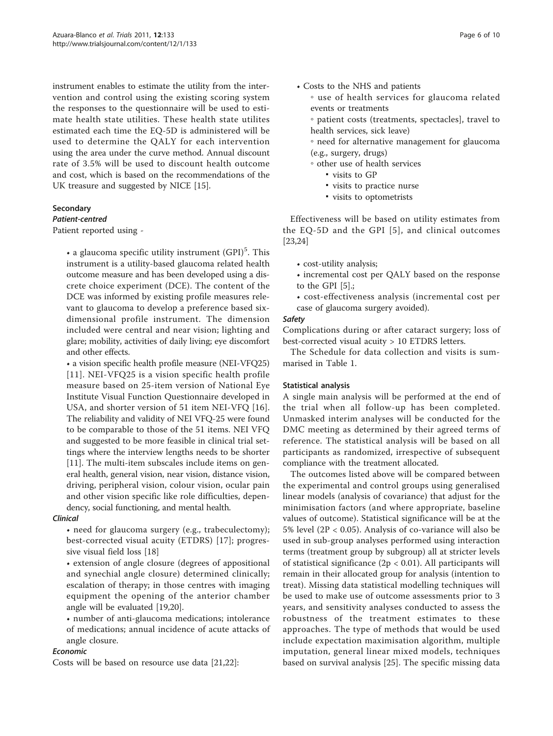instrument enables to estimate the utility from the intervention and control using the existing scoring system the responses to the questionnaire will be used to estimate health state utilities. These health state utilites estimated each time the EQ-5D is administered will be used to determine the QALY for each intervention using the area under the curve method. Annual discount rate of 3.5% will be used to discount health outcome and cost, which is based on the recommendations of the UK treasure and suggested by NICE [\[15\]](#page-8-0).

#### **Secondary**

#### Patient-centred

Patient reported using -

• a glaucoma specific utility instrument (GPI)<sup>5</sup>. This instrument is a utility-based glaucoma related health outcome measure and has been developed using a discrete choice experiment (DCE). The content of the DCE was informed by existing profile measures relevant to glaucoma to develop a preference based sixdimensional profile instrument. The dimension included were central and near vision; lighting and glare; mobility, activities of daily living; eye discomfort and other effects.

• a vision specific health profile measure (NEI-VFQ25) [[11](#page-8-0)]. NEI-VFQ25 is a vision specific health profile measure based on 25-item version of National Eye Institute Visual Function Questionnaire developed in USA, and shorter version of 51 item NEI-VFQ [[16](#page-8-0)]. The reliability and validity of NEI VFQ-25 were found to be comparable to those of the 51 items. NEI VFQ and suggested to be more feasible in clinical trial settings where the interview lengths needs to be shorter [[11\]](#page-8-0). The multi-item subscales include items on general health, general vision, near vision, distance vision, driving, peripheral vision, colour vision, ocular pain and other vision specific like role difficulties, dependency, social functioning, and mental health.

#### Clinical

• need for glaucoma surgery (e.g., trabeculectomy); best-corrected visual acuity (ETDRS) [[17](#page-8-0)]; progressive visual field loss [[18](#page-8-0)]

• extension of angle closure (degrees of appositional and synechial angle closure) determined clinically; escalation of therapy; in those centres with imaging equipment the opening of the anterior chamber angle will be evaluated [\[19,20\]](#page-8-0).

• number of anti-glaucoma medications; intolerance of medications; annual incidence of acute attacks of angle closure.

#### Economic

Costs will be based on resource use data [\[21,22](#page-8-0)]:

- Costs to the NHS and patients
	- use of health services for glaucoma related events or treatments
	- patient costs (treatments, spectacles], travel to health services, sick leave)
	- need for alternative management for glaucoma (e.g., surgery, drugs)
	- other use of health services
		- visits to GP
		- visits to practice nurse
		- visits to optometrists

Effectiveness will be based on utility estimates from the EQ-5D and the GPI [[5](#page-8-0)], and clinical outcomes [[23,24\]](#page-8-0)

- cost-utility analysis;
- incremental cost per QALY based on the response to the GPI  $[5]$  $[5]$  $[5]$ .;
- cost-effectiveness analysis (incremental cost per case of glaucoma surgery avoided).

#### Safety

Complications during or after cataract surgery; loss of best-corrected visual acuity > 10 ETDRS letters.

The Schedule for data collection and visits is summarised in Table [1](#page-6-0).

#### Statistical analysis

A single main analysis will be performed at the end of the trial when all follow-up has been completed. Unmasked interim analyses will be conducted for the DMC meeting as determined by their agreed terms of reference. The statistical analysis will be based on all participants as randomized, irrespective of subsequent compliance with the treatment allocated.

The outcomes listed above will be compared between the experimental and control groups using generalised linear models (analysis of covariance) that adjust for the minimisation factors (and where appropriate, baseline values of outcome). Statistical significance will be at the 5% level (2P < 0.05). Analysis of co-variance will also be used in sub-group analyses performed using interaction terms (treatment group by subgroup) all at stricter levels of statistical significance  $(2p < 0.01)$ . All participants will remain in their allocated group for analysis (intention to treat). Missing data statistical modelling techniques will be used to make use of outcome assessments prior to 3 years, and sensitivity analyses conducted to assess the robustness of the treatment estimates to these approaches. The type of methods that would be used include expectation maximisation algorithm, multiple imputation, general linear mixed models, techniques based on survival analysis [\[25](#page-8-0)]. The specific missing data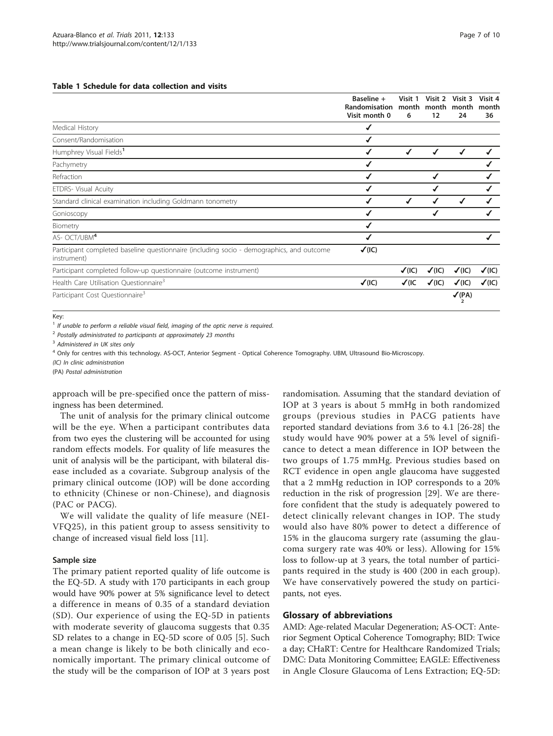#### <span id="page-6-0"></span>Table 1 Schedule for data collection and visits

|                                                                                                          | Baseline +<br><b>Randomisation</b><br>Visit month 0 | Visit 1<br>month<br>6 | Visit 2<br>12     | Visit 3<br>month month<br>24 | Visit 4<br>month<br>36 |
|----------------------------------------------------------------------------------------------------------|-----------------------------------------------------|-----------------------|-------------------|------------------------------|------------------------|
|                                                                                                          |                                                     |                       |                   |                              |                        |
| Medical History                                                                                          | ✔                                                   |                       |                   |                              |                        |
| Consent/Randomisation                                                                                    | √                                                   |                       |                   |                              |                        |
| Humphrey Visual Fields <sup>1</sup>                                                                      | ✔                                                   | ✔                     | ✔                 | √                            |                        |
| Pachymetry                                                                                               |                                                     |                       |                   |                              |                        |
| Refraction                                                                                               |                                                     |                       |                   |                              |                        |
| ETDRS- Visual Acuity                                                                                     |                                                     |                       |                   |                              |                        |
| Standard clinical examination including Goldmann tonometry                                               |                                                     | ✔                     | ✔                 | √                            |                        |
| Gonioscopy                                                                                               |                                                     |                       |                   |                              |                        |
| Biometry                                                                                                 | ✔                                                   |                       |                   |                              |                        |
| AS- OCT/UBM <sup>4</sup>                                                                                 |                                                     |                       |                   |                              |                        |
| Participant completed baseline questionnaire (including socio - demographics, and outcome<br>instrument) | $\checkmark$ (IC)                                   |                       |                   |                              |                        |
| Participant completed follow-up questionnaire (outcome instrument)                                       |                                                     | $\checkmark$ (IC)     | $\checkmark$ (IC) | $\checkmark$ (IC)            | $\checkmark$ (IC)      |
| Health Care Utilisation Questionnaire <sup>3</sup>                                                       | $\checkmark$ (IC)                                   | $\sqrt{C}$            | $\checkmark$ (IC) | $\checkmark$ (IC)            | $\checkmark$ (IC)      |
| Participant Cost Questionnaire <sup>3</sup>                                                              |                                                     |                       |                   | $\sqrt{}$ (PA)               |                        |

Key:

 $1$  If unable to perform a reliable visual field, imaging of the optic nerve is required.

<sup>2</sup> Postally administrated to participants at approximately 23 months

<sup>4</sup> Only for centres with this technology. AS-OCT, Anterior Segment - Optical Coherence Tomography. UBM, Ultrasound Bio-Microscopy.

(IC) In clinic administration

(PA) Postal administration

approach will be pre-specified once the pattern of missingness has been determined.

The unit of analysis for the primary clinical outcome will be the eye. When a participant contributes data from two eyes the clustering will be accounted for using random effects models. For quality of life measures the unit of analysis will be the participant, with bilateral disease included as a covariate. Subgroup analysis of the primary clinical outcome (IOP) will be done according to ethnicity (Chinese or non-Chinese), and diagnosis (PAC or PACG).

We will validate the quality of life measure (NEI-VFQ25), in this patient group to assess sensitivity to change of increased visual field loss [\[11](#page-8-0)].

#### Sample size

The primary patient reported quality of life outcome is the EQ-5D. A study with 170 participants in each group would have 90% power at 5% significance level to detect a difference in means of 0.35 of a standard deviation (SD). Our experience of using the EQ-5D in patients with moderate severity of glaucoma suggests that 0.35 SD relates to a change in EQ-5D score of 0.05 [[5\]](#page-8-0). Such a mean change is likely to be both clinically and economically important. The primary clinical outcome of the study will be the comparison of IOP at 3 years post

randomisation. Assuming that the standard deviation of IOP at 3 years is about 5 mmHg in both randomized groups (previous studies in PACG patients have reported standard deviations from 3.6 to 4.1 [[26-](#page-8-0)[28](#page-9-0)] the study would have 90% power at a 5% level of significance to detect a mean difference in IOP between the two groups of 1.75 mmHg. Previous studies based on RCT evidence in open angle glaucoma have suggested that a 2 mmHg reduction in IOP corresponds to a 20% reduction in the risk of progression [[29\]](#page-9-0). We are therefore confident that the study is adequately powered to detect clinically relevant changes in IOP. The study would also have 80% power to detect a difference of 15% in the glaucoma surgery rate (assuming the glaucoma surgery rate was 40% or less). Allowing for 15% loss to follow-up at 3 years, the total number of participants required in the study is 400 (200 in each group). We have conservatively powered the study on participants, not eyes.

## Glossary of abbreviations

AMD: Age-related Macular Degeneration; AS-OCT: Anterior Segment Optical Coherence Tomography; BID: Twice a day; CHaRT: Centre for Healthcare Randomized Trials; DMC: Data Monitoring Committee; EAGLE: Effectiveness in Angle Closure Glaucoma of Lens Extraction; EQ-5D:

<sup>&</sup>lt;sup>3</sup> Administered in UK sites only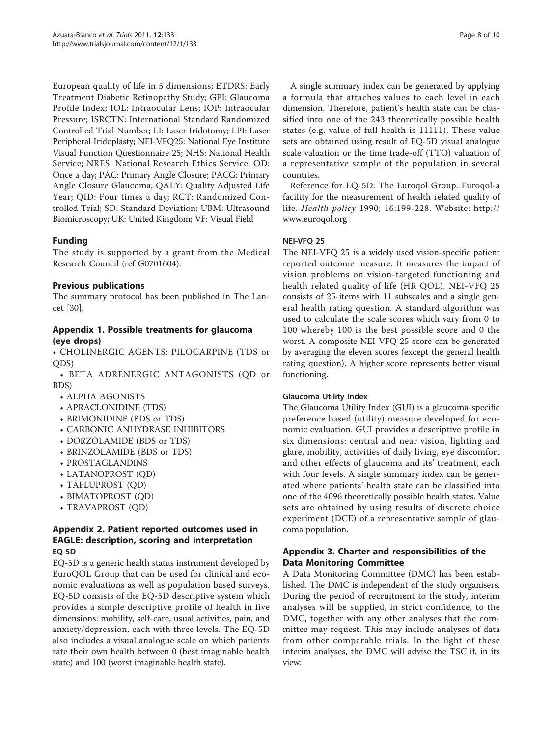European quality of life in 5 dimensions; ETDRS: Early Treatment Diabetic Retinopathy Study; GPI: Glaucoma Profile Index; IOL: Intraocular Lens; IOP: Intraocular Pressure; ISRCTN: International Standard Randomized Controlled Trial Number; LI: Laser Iridotomy; LPI: Laser Peripheral Iridoplasty; NEI-VFQ25: National Eye Institute Visual Function Questionnaire 25; NHS: National Health Service; NRES: National Research Ethics Service; OD: Once a day; PAC: Primary Angle Closure; PACG: Primary Angle Closure Glaucoma; QALY: Quality Adjusted Life Year; QID: Four times a day; RCT: Randomized Controlled Trial; SD: Standard Deviation; UBM: Ultrasound Biomicroscopy; UK: United Kingdom; VF: Visual Field

# Funding

The study is supported by a grant from the Medical Research Council (ref G0701604).

# Previous publications

The summary protocol has been published in The Lancet [[30\]](#page-9-0).

# Appendix 1. Possible treatments for glaucoma (eye drops)

• CHOLINERGIC AGENTS: PILOCARPINE (TDS or QDS)

• BETA ADRENERGIC ANTAGONISTS (QD or BDS)

- ALPHA AGONISTS
- APRACLONIDINE (TDS)
- BRIMONIDINE (BDS or TDS)
- CARBONIC ANHYDRASE INHIBITORS
- DORZOLAMIDE (BDS or TDS)
- BRINZOLAMIDE (BDS or TDS)
- PROSTAGLANDINS
- LATANOPROST (QD)
- TAFLUPROST (QD)
- BIMATOPROST (QD)
- TRAVAPROST (QD)

# Appendix 2. Patient reported outcomes used in EAGLE: description, scoring and interpretation EQ-5D

EQ-5D is a generic health status instrument developed by EuroQOL Group that can be used for clinical and economic evaluations as well as population based surveys. EQ-5D consists of the EQ-5D descriptive system which provides a simple descriptive profile of health in five dimensions: mobility, self-care, usual activities, pain, and anxiety/depression, each with three levels. The EQ-5D also includes a visual analogue scale on which patients rate their own health between 0 (best imaginable health state) and 100 (worst imaginable health state).

A single summary index can be generated by applying a formula that attaches values to each level in each dimension. Therefore, patient's health state can be classified into one of the 243 theoretically possible health states (e.g. value of full health is 11111). These value sets are obtained using result of EQ-5D visual analogue scale valuation or the time trade-off (TTO) valuation of a representative sample of the population in several countries.

Reference for EQ-5D: The Euroqol Group. Euroqol-a faciIity for the measurement of health related quality of life. Health policy 1990; 16:199-228. Website: [http://](http://www.euroqol.org) [www.euroqol.org](http://www.euroqol.org)

# NEI-VFQ 25

The NEI-VFQ 25 is a widely used vision-specific patient reported outcome measure. It measures the impact of vision problems on vision-targeted functioning and health related quality of life (HR QOL). NEI-VFQ 25 consists of 25-items with 11 subscales and a single general health rating question. A standard algorithm was used to calculate the scale scores which vary from 0 to 100 whereby 100 is the best possible score and 0 the worst. A composite NEI-VFQ 25 score can be generated by averaging the eleven scores (except the general health rating question). A higher score represents better visual functioning.

## Glaucoma Utility Index

The Glaucoma Utility Index (GUI) is a glaucoma-specific preference based (utility) measure developed for economic evaluation. GUI provides a descriptive profile in six dimensions: central and near vision, lighting and glare, mobility, activities of daily living, eye discomfort and other effects of glaucoma and its' treatment, each with four levels. A single summary index can be generated where patients' health state can be classified into one of the 4096 theoretically possible health states. Value sets are obtained by using results of discrete choice experiment (DCE) of a representative sample of glaucoma population.

# Appendix 3. Charter and responsibilities of the Data Monitoring Committee

A Data Monitoring Committee (DMC) has been established. The DMC is independent of the study organisers. During the period of recruitment to the study, interim analyses will be supplied, in strict confidence, to the DMC, together with any other analyses that the committee may request. This may include analyses of data from other comparable trials. In the light of these interim analyses, the DMC will advise the TSC if, in its view: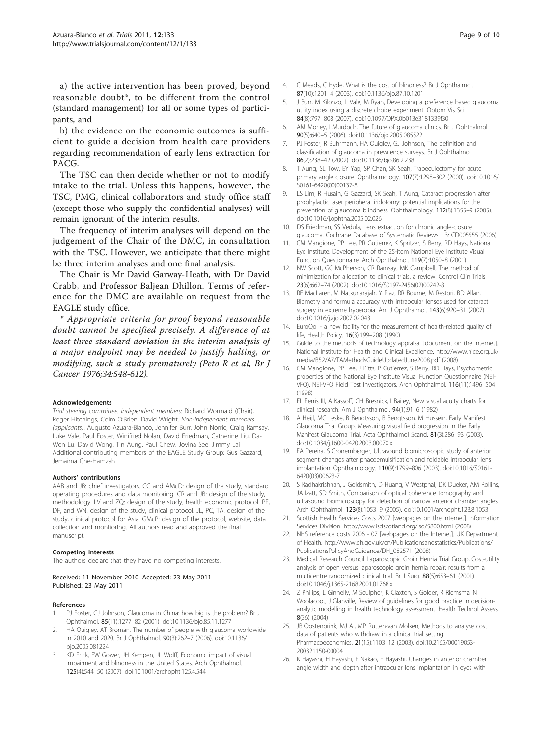<span id="page-8-0"></span>a) the active intervention has been proved, beyond reasonable doubt\*, to be different from the control (standard management) for all or some types of participants, and

b) the evidence on the economic outcomes is sufficient to guide a decision from health care providers regarding recommendation of early lens extraction for PACG.

The TSC can then decide whether or not to modify intake to the trial. Unless this happens, however, the TSC, PMG, clinical collaborators and study office staff (except those who supply the confidential analyses) will remain ignorant of the interim results.

The frequency of interim analyses will depend on the judgement of the Chair of the DMC, in consultation with the TSC. However, we anticipate that there might be three interim analyses and one final analysis.

The Chair is Mr David Garway-Heath, with Dr David Crabb, and Professor Baljean Dhillon. Terms of reference for the DMC are available on request from the EAGLE study office.

\* Appropriate criteria for proof beyond reasonable doubt cannot be specified precisely. A difference of at least three standard deviation in the interim analysis of a major endpoint may be needed to justify halting, or modifying, such a study prematurely (Peto R et al, Br J Cancer 1976;34:548-612).

#### Acknowledgements

Trial steering committee. Independent members: Richard Wormald (Chair), Roger Hitchings, Colm O'Brien, David Wright. Non-independent members (applicants): Augusto Azuara-Blanco, Jennifer Burr, John Norrie, Craig Ramsay, Luke Vale, Paul Foster, Winifried Nolan, David Friedman, Catherine Liu, Da-Wen Lu, David Wong, Tin Aung, Paul Chew, Jovina See, Jimmy Lai Additional contributing members of the EAGLE Study Group: Gus Gazzard, Jemaima Che-Hamzah

#### Authors' contributions

AAB and JB: chief investigators. CC and AMcD: design of the study, standard operating procedures and data monitoring. CR and JB: design of the study, methodology. LV and ZQ: design of the study, health economic protocol. PF, DF, and WN: design of the study, clinical protocol. JL, PC, TA: design of the study, clinical protocol for Asia. GMcP: design of the protocol, website, data collection and monitoring. All authors read and approved the final manuscript.

#### Competing interests

The authors declare that they have no competing interests.

Received: 11 November 2010 Accepted: 23 May 2011 Published: 23 May 2011

#### References

- 1. PJ Foster, GJ Johnson, [Glaucoma in China: how big is the problem?](http://www.ncbi.nlm.nih.gov/pubmed/11673287?dopt=Abstract) Br J Ophthalmol. 85(11):1277–82 (2001). doi:10.1136/bjo.85.11.1277
- HA Quigley, AT Broman, [The number of people with glaucoma worldwide](http://www.ncbi.nlm.nih.gov/pubmed/16488940?dopt=Abstract) [in 2010 and 2020.](http://www.ncbi.nlm.nih.gov/pubmed/16488940?dopt=Abstract) Br J Ophthalmol. 90(3):262–7 (2006). doi:10.1136/ bjo.2005.081224
- KD Frick, EW Gower, JH Kempen, JL Wolff[, Economic impact of visual](http://www.ncbi.nlm.nih.gov/pubmed/17420375?dopt=Abstract) [impairment and blindness in the United States.](http://www.ncbi.nlm.nih.gov/pubmed/17420375?dopt=Abstract) Arch Ophthalmol. 125(4):544–50 (2007). doi:10.1001/archopht.125.4.544
- 4. C Meads, C Hyde[, What is the cost of blindness?](http://www.ncbi.nlm.nih.gov/pubmed/14507746?dopt=Abstract) Br J Ophthalmol. 87(10):1201–4 (2003). doi:10.1136/bjo.87.10.1201
- 5. J Burr, M Kilonzo, L Vale, M Ryan, [Developing a preference based glaucoma](http://www.ncbi.nlm.nih.gov/pubmed/17700343?dopt=Abstract) [utility index using a discrete choice experiment.](http://www.ncbi.nlm.nih.gov/pubmed/17700343?dopt=Abstract) Optom Vis Sci. 84(8):797–808 (2007). doi:10.1097/OPX.0b013e3181339f30
- 6. AM Morley, I Murdoch[, The future of glaucoma clinics.](http://www.ncbi.nlm.nih.gov/pubmed/16622096?dopt=Abstract) Br J Ophthalmol. 90(5):640–5 (2006). doi:10.1136/bjo.2005.085522
- 7. PJ Foster, R Buhrmann, HA Quigley, GJ Johnson[, The definition and](http://www.ncbi.nlm.nih.gov/pubmed/11815354?dopt=Abstract) [classification of glaucoma in prevalence surveys.](http://www.ncbi.nlm.nih.gov/pubmed/11815354?dopt=Abstract) Br J Ophthalmol. 86(2):238–42 (2002). doi:10.1136/bjo.86.2.238
- 8. T Aung, SL Tow, EY Yap, SP Chan, SK Seah[, Trabeculectomy for acute](http://www.ncbi.nlm.nih.gov/pubmed/10889101?dopt=Abstract) [primary angle closure.](http://www.ncbi.nlm.nih.gov/pubmed/10889101?dopt=Abstract) Ophthalmology. 107(7):1298–302 (2000). doi:10.1016/ S0161-6420(00)00137-8
- 9. LS Lim, R Husain, G Gazzard, SK Seah, T Aung, [Cataract progression after](http://www.ncbi.nlm.nih.gov/pubmed/16061092?dopt=Abstract) [prophylactic laser peripheral iridotomy: potential implications for the](http://www.ncbi.nlm.nih.gov/pubmed/16061092?dopt=Abstract) [prevention of glaucoma blindness.](http://www.ncbi.nlm.nih.gov/pubmed/16061092?dopt=Abstract) Ophthalmology. 112(8):1355–9 (2005). doi:10.1016/j.ophtha.2005.02.026
- 10. DS Friedman, SS Vedula, Lens extraction for chronic angle-closure glaucoma. Cochrane Database of Systematic Reviews. , 3: CD005555 (2006)
- 11. CM Mangione, PP Lee, PR Gutierrez, K Spritzer, S Berry, RD Hays, [National](http://www.ncbi.nlm.nih.gov/pubmed/11448327?dopt=Abstract) [Eye Institute. Development of the 25-item National Eye Institute Visual](http://www.ncbi.nlm.nih.gov/pubmed/11448327?dopt=Abstract) [Function Questionnaire.](http://www.ncbi.nlm.nih.gov/pubmed/11448327?dopt=Abstract) Arch Ophthalmol. 119(7):1050–8 (2001)
- 12. NW Scott, GC McPherson, CR Ramsay, MK Campbell[, The method of](http://www.ncbi.nlm.nih.gov/pubmed/12505244?dopt=Abstract) [minimization for allocation to clinical trials. a review.](http://www.ncbi.nlm.nih.gov/pubmed/12505244?dopt=Abstract) Control Clin Trials. 23(6):662–74 (2002). doi:10.1016/S0197-2456(02)00242-8
- 13. RE MacLaren, M Natkunarajah, Y Riaz, RR Bourne, M Restori, BD Allan, [Biometry and formula accuracy with intraocular lenses used for cataract](http://www.ncbi.nlm.nih.gov/pubmed/17524766?dopt=Abstract) [surgery in extreme hyperopia.](http://www.ncbi.nlm.nih.gov/pubmed/17524766?dopt=Abstract) Am J Ophthalmol. 143(6):920–31 (2007). doi:10.1016/j.ajo.2007.02.043
- 14. EuroQol a new facility for the measurement of health-related quality of life, Health Policy. 16(3):199–208 (1990)
- 15. Guide to the methods of technology appraisal [document on the Internet]. National Institute for Health and Clinical Excellence. [http://www.nice.org.uk/](http://www.nice.org.uk/media/B52/A7/TAMethodsGuideUpdatedJune2008.pdf) [media/B52/A7/TAMethodsGuideUpdatedJune2008.pdf](http://www.nice.org.uk/media/B52/A7/TAMethodsGuideUpdatedJune2008.pdf) (2008)
- 16. CM Mangione, PP Lee, J Pitts, P Gutierrez, S Berry, RD Hays[, Psychometric](http://www.ncbi.nlm.nih.gov/pubmed/9823352?dopt=Abstract) [properties of the National Eye Institute Visual Function Questionnaire \(NEI-](http://www.ncbi.nlm.nih.gov/pubmed/9823352?dopt=Abstract)[VFQ\). NEI-VFQ Field Test Investigators.](http://www.ncbi.nlm.nih.gov/pubmed/9823352?dopt=Abstract) Arch Ophthalmol. 116(11):1496–504 (1998)
- 17. FL Ferris III, A Kassoff, GH Bresnick, I Bailey, [New visual acuity charts for](http://www.ncbi.nlm.nih.gov/pubmed/7091289?dopt=Abstract) [clinical research.](http://www.ncbi.nlm.nih.gov/pubmed/7091289?dopt=Abstract) Am J Ophthalmol. 94(1):91–6 (1982)
- 18. A Heijl, MC Leske, B Bengtsson, B Bengtsson, M Hussein, [Early Manifest](http://www.ncbi.nlm.nih.gov/pubmed/12780410?dopt=Abstract) [Glaucoma Trial Group. Measuring visual field progression in the Early](http://www.ncbi.nlm.nih.gov/pubmed/12780410?dopt=Abstract) [Manifest Glaucoma Trial.](http://www.ncbi.nlm.nih.gov/pubmed/12780410?dopt=Abstract) Acta Ophthalmol Scand. 81(3):286–93 (2003). doi:10.1034/j.1600-0420.2003.00070.x
- 19. FA Pereira, S Cronemberger[, Ultrasound biomicroscopic study of anterior](http://www.ncbi.nlm.nih.gov/pubmed/13129880?dopt=Abstract) segment [changes after phacoemulsification and foldable intraocular lens](http://www.ncbi.nlm.nih.gov/pubmed/13129880?dopt=Abstract) [implantation.](http://www.ncbi.nlm.nih.gov/pubmed/13129880?dopt=Abstract) Ophthalmology. 110(9):1799–806 (2003). doi:10.1016/S0161- 6420(03)00623-7
- 20. S Radhakrishnan, J Goldsmith, D Huang, V Westphal, DK Dueker, AM Rollins, JA Izatt, SD Smith, [Comparison of optical coherence tomography and](http://www.ncbi.nlm.nih.gov/pubmed/16087837?dopt=Abstract) [ultrasound biomicroscopy for detection of narrow anterior chamber angles.](http://www.ncbi.nlm.nih.gov/pubmed/16087837?dopt=Abstract) Arch Ophthalmol. 123(8):1053–9 (2005). doi:10.1001/archopht.123.8.1053
- 21. Scottish Health Services Costs 2007 [webpages on the Internet]. Information Services Division.<http://www.isdscotland.org/isd/5800.html> (2008)
- 22. NHS reference costs 2006 07 [webpages on the Internet]. UK Department of Health. [http://www.dh.gov.uk/en/Publicationsandstatistics/Publications/](http://www.dh.gov.uk/en/Publicationsandstatistics/Publications/PublicationsPolicyAndGuidance/DH_082571) [PublicationsPolicyAndGuidance/DH\\_082571](http://www.dh.gov.uk/en/Publicationsandstatistics/Publications/PublicationsPolicyAndGuidance/DH_082571) (2008)
- 23. Medical Research Council Laparoscopic Groin Hernia Trial Group, [Cost-utility](http://www.ncbi.nlm.nih.gov/pubmed/11350435?dopt=Abstract) [analysis of open versus laparoscopic groin hernia repair: results from a](http://www.ncbi.nlm.nih.gov/pubmed/11350435?dopt=Abstract) [multicentre randomized clinical trial.](http://www.ncbi.nlm.nih.gov/pubmed/11350435?dopt=Abstract) Br J Surg. 88(5):653–61 (2001). doi:10.1046/j.1365-2168.2001.01768.x
- 24. Z Philips, L Ginnelly, M Sculpher, K Claxton, S Golder, R Riemsma, N Woolacoot, J Glanville, Review of guidelines for good practice in decisionanalytic modelling in health technology assessment. Health Technol Assess. 8(36) (2004)
- 25. JB Oostenbrink, MJ Al, MP Rutten-van Molken[, Methods to analyse cost](http://www.ncbi.nlm.nih.gov/pubmed/14596629?dopt=Abstract) [data of patients who withdraw in a clinical trial setting.](http://www.ncbi.nlm.nih.gov/pubmed/14596629?dopt=Abstract) Pharmacoeconomics. 21(15):1103–12 (2003). doi:10.2165/00019053- 200321150-00004
- 26. K Hayashi, H Hayashi, F Nakao, F Hayashi[, Changes in anterior chamber](http://www.ncbi.nlm.nih.gov/pubmed/10768331?dopt=Abstract) [angle width and depth after intraocular lens implantation in eyes with](http://www.ncbi.nlm.nih.gov/pubmed/10768331?dopt=Abstract)